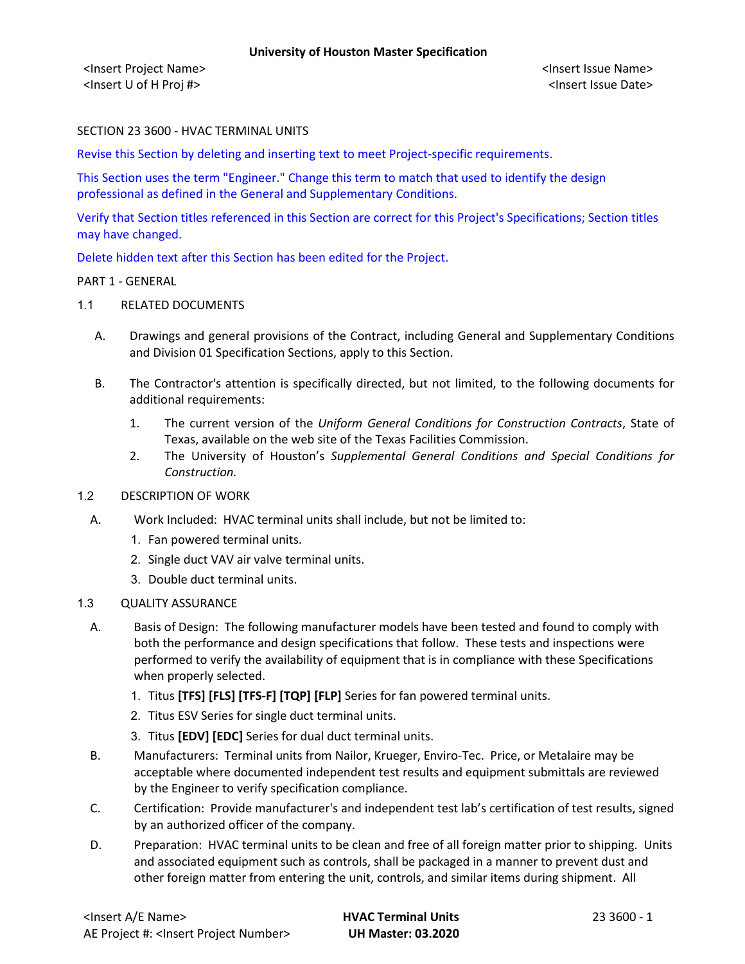## SECTION 23 3600 - HVAC TERMINAL UNITS

Revise this Section by deleting and inserting text to meet Project-specific requirements.

This Section uses the term "Engineer." Change this term to match that used to identify the design professional as defined in the General and Supplementary Conditions.

Verify that Section titles referenced in this Section are correct for this Project's Specifications; Section titles may have changed.

Delete hidden text after this Section has been edited for the Project.

#### PART 1 - GENERAL

#### 1.1 RELATED DOCUMENTS

- A. Drawings and general provisions of the Contract, including General and Supplementary Conditions and Division 01 Specification Sections, apply to this Section.
- B. The Contractor's attention is specifically directed, but not limited, to the following documents for additional requirements:
	- 1. The current version of the *Uniform General Conditions for Construction Contracts*, State of Texas, available on the web site of the Texas Facilities Commission.
	- 2. The University of Houston's *Supplemental General Conditions and Special Conditions for Construction.*

## 1.2 DESCRIPTION OF WORK

- A. Work Included: HVAC terminal units shall include, but not be limited to:
	- 1. Fan powered terminal units.
	- 2. Single duct VAV air valve terminal units.
	- 3. Double duct terminal units.

## 1.3 QUALITY ASSURANCE

- A. Basis of Design: The following manufacturer models have been tested and found to comply with both the performance and design specifications that follow. These tests and inspections were performed to verify the availability of equipment that is in compliance with these Specifications when properly selected.
	- 1. Titus **[TFS] [FLS] [TFS-F] [TQP] [FLP]** Series for fan powered terminal units.
	- 2. Titus ESV Series for single duct terminal units.
	- 3. Titus **[EDV] [EDC]** Series for dual duct terminal units.
- B. Manufacturers: Terminal units from Nailor, Krueger, Enviro-Tec. Price, or Metalaire may be acceptable where documented independent test results and equipment submittals are reviewed by the Engineer to verify specification compliance.
- C. Certification: Provide manufacturer's and independent test lab's certification of test results, signed by an authorized officer of the company.
- D. Preparation: HVAC terminal units to be clean and free of all foreign matter prior to shipping. Units and associated equipment such as controls, shall be packaged in a manner to prevent dust and other foreign matter from entering the unit, controls, and similar items during shipment. All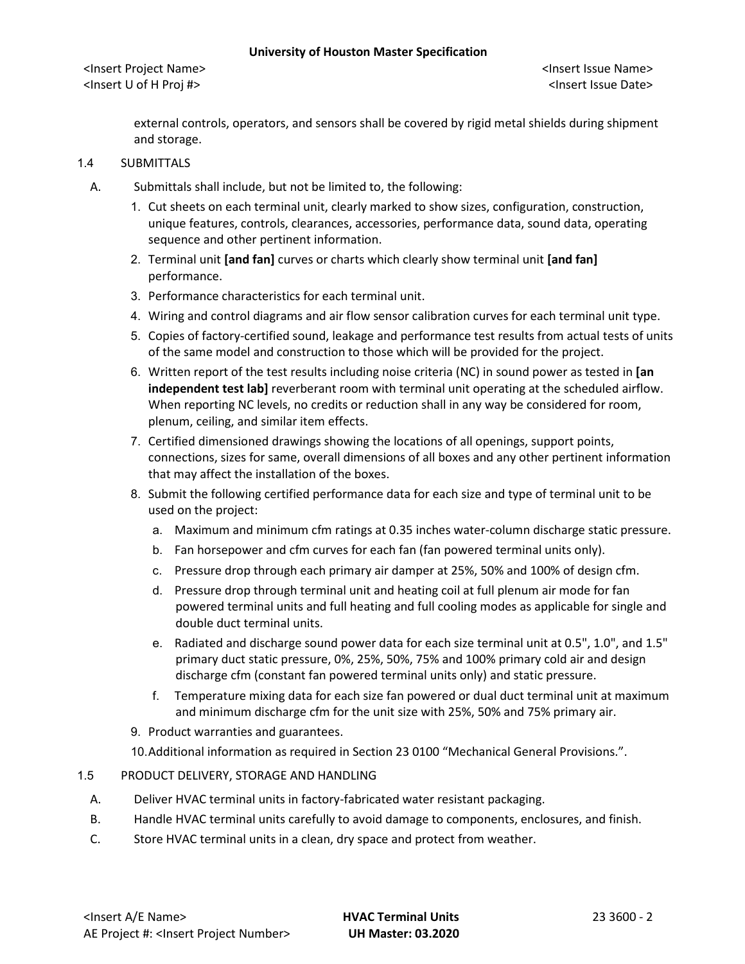external controls, operators, and sensors shall be covered by rigid metal shields during shipment and storage.

## 1.4 SUBMITTALS

- A. Submittals shall include, but not be limited to, the following:
	- 1. Cut sheets on each terminal unit, clearly marked to show sizes, configuration, construction, unique features, controls, clearances, accessories, performance data, sound data, operating sequence and other pertinent information.
	- 2. Terminal unit **[and fan]** curves or charts which clearly show terminal unit **[and fan]** performance.
	- 3. Performance characteristics for each terminal unit.
	- 4. Wiring and control diagrams and air flow sensor calibration curves for each terminal unit type.
	- 5. Copies of factory-certified sound, leakage and performance test results from actual tests of units of the same model and construction to those which will be provided for the project.
	- 6. Written report of the test results including noise criteria (NC) in sound power as tested in **[an independent test lab]** reverberant room with terminal unit operating at the scheduled airflow. When reporting NC levels, no credits or reduction shall in any way be considered for room, plenum, ceiling, and similar item effects.
	- 7. Certified dimensioned drawings showing the locations of all openings, support points, connections, sizes for same, overall dimensions of all boxes and any other pertinent information that may affect the installation of the boxes.
	- 8. Submit the following certified performance data for each size and type of terminal unit to be used on the project:
		- a. Maximum and minimum cfm ratings at 0.35 inches water-column discharge static pressure.
		- b. Fan horsepower and cfm curves for each fan (fan powered terminal units only).
		- c. Pressure drop through each primary air damper at 25%, 50% and 100% of design cfm.
		- d. Pressure drop through terminal unit and heating coil at full plenum air mode for fan powered terminal units and full heating and full cooling modes as applicable for single and double duct terminal units.
		- e. Radiated and discharge sound power data for each size terminal unit at 0.5", 1.0", and 1.5" primary duct static pressure, 0%, 25%, 50%, 75% and 100% primary cold air and design discharge cfm (constant fan powered terminal units only) and static pressure.
		- f. Temperature mixing data for each size fan powered or dual duct terminal unit at maximum and minimum discharge cfm for the unit size with 25%, 50% and 75% primary air.
	- 9. Product warranties and guarantees.

10.Additional information as required in Section 23 0100 "Mechanical General Provisions.".

#### 1.5 PRODUCT DELIVERY, STORAGE AND HANDLING

- A. Deliver HVAC terminal units in factory-fabricated water resistant packaging.
- B. Handle HVAC terminal units carefully to avoid damage to components, enclosures, and finish.
- C. Store HVAC terminal units in a clean, dry space and protect from weather.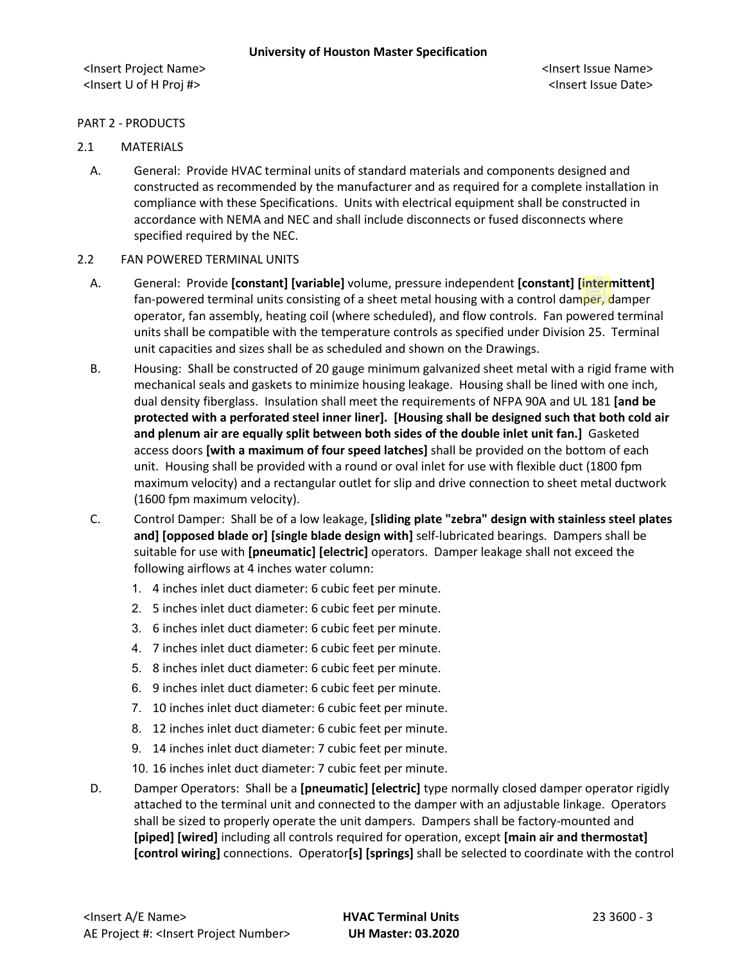## PART 2 - PRODUCTS

## 2.1 MATERIALS

A. General: Provide HVAC terminal units of standard materials and components designed and constructed as recommended by the manufacturer and as required for a complete installation in compliance with these Specifications. Units with electrical equipment shall be constructed in accordance with NEMA and NEC and shall include disconnects or fused disconnects where specified required by the NEC.

#### 2.2 FAN POWERED TERMINAL UNITS

- A. General: Provide **[constant] [variable]** volume, pressure independent **[constant] [intermittent]** fan-powered terminal units consisting of a sheet metal housing with a control damper, damper operator, fan assembly, heating coil (where scheduled), and flow controls. Fan powered terminal units shall be compatible with the temperature controls as specified under Division 25. Terminal unit capacities and sizes shall be as scheduled and shown on the Drawings.
- B. Housing: Shall be constructed of 20 gauge minimum galvanized sheet metal with a rigid frame with mechanical seals and gaskets to minimize housing leakage. Housing shall be lined with one inch, dual density fiberglass. Insulation shall meet the requirements of NFPA 90A and UL 181 **[and be protected with a perforated steel inner liner]. [Housing shall be designed such that both cold air and plenum air are equally split between both sides of the double inlet unit fan.]** Gasketed access doors **[with a maximum of four speed latches]** shall be provided on the bottom of each unit. Housing shall be provided with a round or oval inlet for use with flexible duct (1800 fpm maximum velocity) and a rectangular outlet for slip and drive connection to sheet metal ductwork (1600 fpm maximum velocity).
- C. Control Damper: Shall be of a low leakage, **[sliding plate "zebra" design with stainless steel plates and] [opposed blade or] [single blade design with]** self-lubricated bearings. Dampers shall be suitable for use with **[pneumatic] [electric]** operators. Damper leakage shall not exceed the following airflows at 4 inches water column:
	- 1. 4 inches inlet duct diameter: 6 cubic feet per minute.
	- 2. 5 inches inlet duct diameter: 6 cubic feet per minute.
	- 3. 6 inches inlet duct diameter: 6 cubic feet per minute.
	- 4. 7 inches inlet duct diameter: 6 cubic feet per minute.
	- 5. 8 inches inlet duct diameter: 6 cubic feet per minute.
	- 6. 9 inches inlet duct diameter: 6 cubic feet per minute.
	- 7. 10 inches inlet duct diameter: 6 cubic feet per minute.
	- 8. 12 inches inlet duct diameter: 6 cubic feet per minute.
	- 9. 14 inches inlet duct diameter: 7 cubic feet per minute.
	- 10. 16 inches inlet duct diameter: 7 cubic feet per minute.
- D. Damper Operators: Shall be a **[pneumatic] [electric]** type normally closed damper operator rigidly attached to the terminal unit and connected to the damper with an adjustable linkage. Operators shall be sized to properly operate the unit dampers. Dampers shall be factory-mounted and **[piped] [wired]** including all controls required for operation, except **[main air and thermostat] [control wiring]** connections. Operator**[s] [springs]** shall be selected to coordinate with the control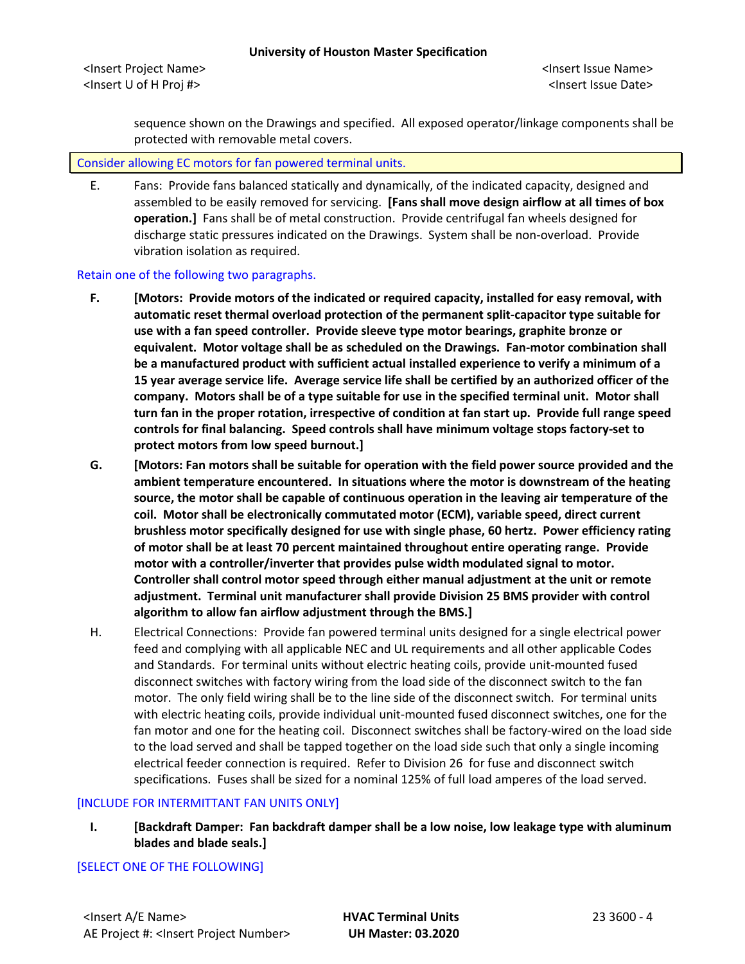<Insert Project Name> <Insert Issue Name> <Insert U of H Proj #> <Insert Issue Date>

sequence shown on the Drawings and specified. All exposed operator/linkage components shall be protected with removable metal covers.

#### Consider allowing EC motors for fan powered terminal units.

E. Fans: Provide fans balanced statically and dynamically, of the indicated capacity, designed and assembled to be easily removed for servicing. **[Fans shall move design airflow at all times of box operation.]** Fans shall be of metal construction. Provide centrifugal fan wheels designed for discharge static pressures indicated on the Drawings. System shall be non-overload. Provide vibration isolation as required.

#### Retain one of the following two paragraphs.

- **F. [Motors: Provide motors of the indicated or required capacity, installed for easy removal, with automatic reset thermal overload protection of the permanent split-capacitor type suitable for use with a fan speed controller. Provide sleeve type motor bearings, graphite bronze or equivalent. Motor voltage shall be as scheduled on the Drawings. Fan-motor combination shall be a manufactured product with sufficient actual installed experience to verify a minimum of a 15 year average service life. Average service life shall be certified by an authorized officer of the company. Motors shall be of a type suitable for use in the specified terminal unit. Motor shall turn fan in the proper rotation, irrespective of condition at fan start up. Provide full range speed controls for final balancing. Speed controls shall have minimum voltage stops factory-set to protect motors from low speed burnout.]**
- **G. [Motors: Fan motors shall be suitable for operation with the field power source provided and the ambient temperature encountered. In situations where the motor is downstream of the heating source, the motor shall be capable of continuous operation in the leaving air temperature of the coil. Motor shall be electronically commutated motor (ECM), variable speed, direct current brushless motor specifically designed for use with single phase, 60 hertz. Power efficiency rating of motor shall be at least 70 percent maintained throughout entire operating range. Provide motor with a controller/inverter that provides pulse width modulated signal to motor. Controller shall control motor speed through either manual adjustment at the unit or remote adjustment. Terminal unit manufacturer shall provide Division 25 BMS provider with control algorithm to allow fan airflow adjustment through the BMS.]**
- H. Electrical Connections: Provide fan powered terminal units designed for a single electrical power feed and complying with all applicable NEC and UL requirements and all other applicable Codes and Standards. For terminal units without electric heating coils, provide unit-mounted fused disconnect switches with factory wiring from the load side of the disconnect switch to the fan motor. The only field wiring shall be to the line side of the disconnect switch. For terminal units with electric heating coils, provide individual unit-mounted fused disconnect switches, one for the fan motor and one for the heating coil. Disconnect switches shall be factory-wired on the load side to the load served and shall be tapped together on the load side such that only a single incoming electrical feeder connection is required. Refer to Division 26 for fuse and disconnect switch specifications. Fuses shall be sized for a nominal 125% of full load amperes of the load served.

#### [INCLUDE FOR INTERMITTANT FAN UNITS ONLY]

**I. [Backdraft Damper: Fan backdraft damper shall be a low noise, low leakage type with aluminum blades and blade seals.]**

## [SELECT ONE OF THE FOLLOWING]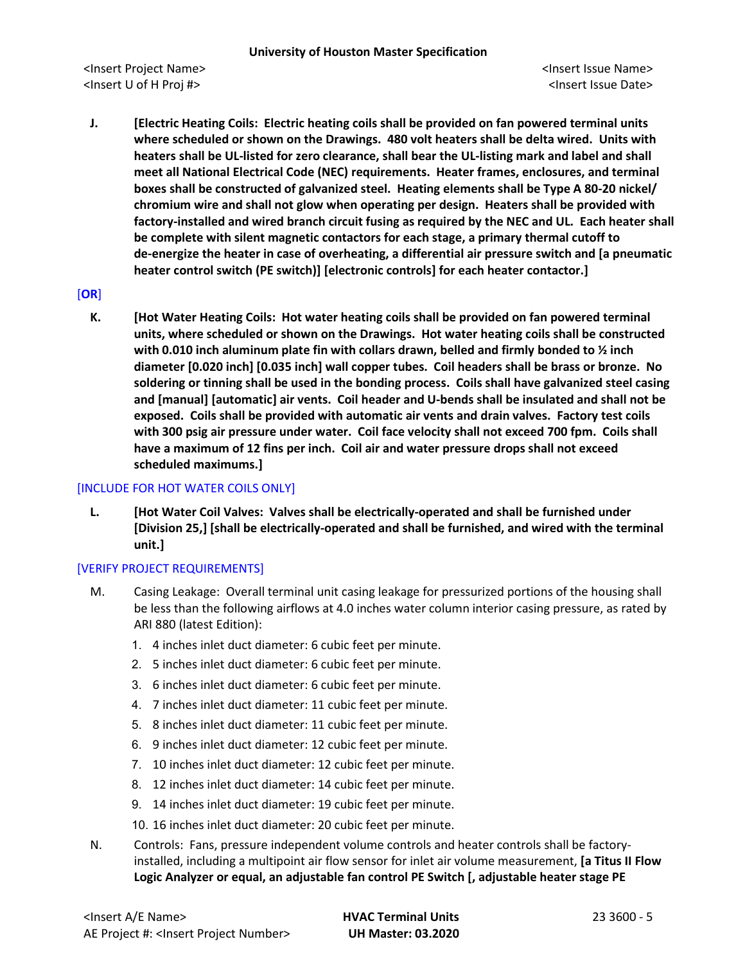**J. [Electric Heating Coils: Electric heating coils shall be provided on fan powered terminal units where scheduled or shown on the Drawings. 480 volt heaters shall be delta wired. Units with heaters shall be UL-listed for zero clearance, shall bear the UL-listing mark and label and shall meet all National Electrical Code (NEC) requirements. Heater frames, enclosures, and terminal boxes shall be constructed of galvanized steel. Heating elements shall be Type A 80-20 nickel/ chromium wire and shall not glow when operating per design. Heaters shall be provided with factory-installed and wired branch circuit fusing as required by the NEC and UL. Each heater shall be complete with silent magnetic contactors for each stage, a primary thermal cutoff to de-energize the heater in case of overheating, a differential air pressure switch and [a pneumatic heater control switch (PE switch)] [electronic controls] for each heater contactor.]**

[**OR**]

**K. [Hot Water Heating Coils: Hot water heating coils shall be provided on fan powered terminal units, where scheduled or shown on the Drawings. Hot water heating coils shall be constructed with 0.010 inch aluminum plate fin with collars drawn, belled and firmly bonded to ½ inch diameter [0.020 inch] [0.035 inch] wall copper tubes. Coil headers shall be brass or bronze. No soldering or tinning shall be used in the bonding process. Coils shall have galvanized steel casing and [manual] [automatic] air vents. Coil header and U-bends shall be insulated and shall not be exposed. Coils shall be provided with automatic air vents and drain valves. Factory test coils with 300 psig air pressure under water. Coil face velocity shall not exceed 700 fpm. Coils shall have a maximum of 12 fins per inch. Coil air and water pressure drops shall not exceed scheduled maximums.]**

## [INCLUDE FOR HOT WATER COILS ONLY]

**L. [Hot Water Coil Valves: Valves shall be electrically-operated and shall be furnished under [Division 25,] [shall be electrically-operated and shall be furnished, and wired with the terminal unit.]**

## [VERIFY PROJECT REQUIREMENTS]

- M. Casing Leakage: Overall terminal unit casing leakage for pressurized portions of the housing shall be less than the following airflows at 4.0 inches water column interior casing pressure, as rated by ARI 880 (latest Edition):
	- 1. 4 inches inlet duct diameter: 6 cubic feet per minute.
	- 2. 5 inches inlet duct diameter: 6 cubic feet per minute.
	- 3. 6 inches inlet duct diameter: 6 cubic feet per minute.
	- 4. 7 inches inlet duct diameter: 11 cubic feet per minute.
	- 5. 8 inches inlet duct diameter: 11 cubic feet per minute.
	- 6. 9 inches inlet duct diameter: 12 cubic feet per minute.
	- 7. 10 inches inlet duct diameter: 12 cubic feet per minute.
	- 8. 12 inches inlet duct diameter: 14 cubic feet per minute.
	- 9. 14 inches inlet duct diameter: 19 cubic feet per minute.
	- 10. 16 inches inlet duct diameter: 20 cubic feet per minute.
- N. Controls: Fans, pressure independent volume controls and heater controls shall be factoryinstalled, including a multipoint air flow sensor for inlet air volume measurement, **[a Titus II Flow Logic Analyzer or equal, an adjustable fan control PE Switch [, adjustable heater stage PE**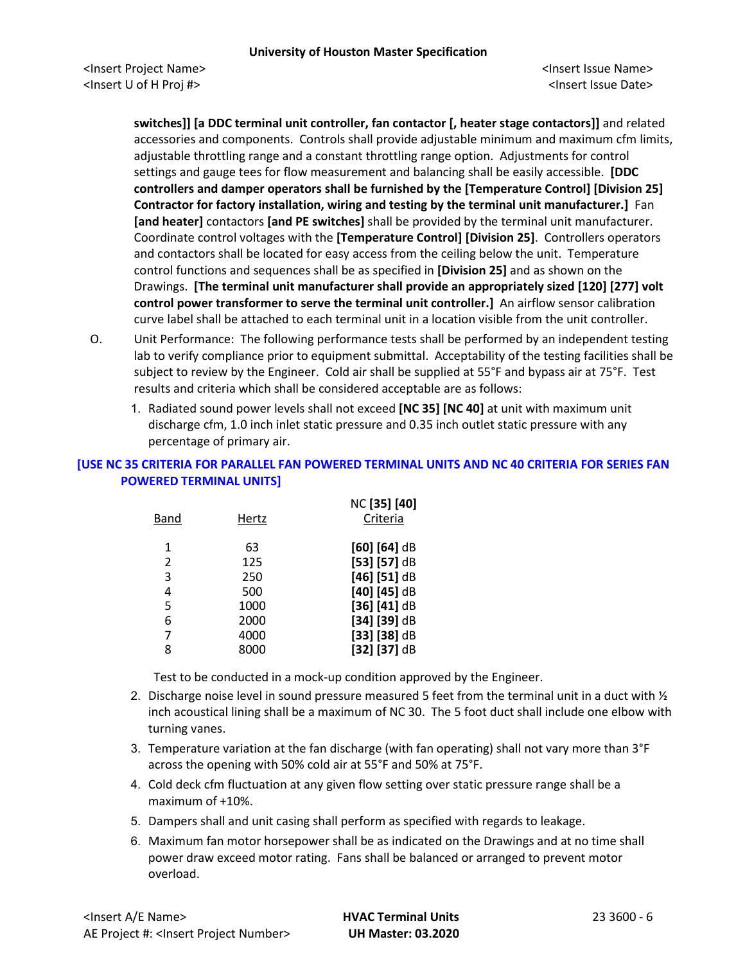**switches]] [a DDC terminal unit controller, fan contactor [, heater stage contactors]]** and related accessories and components. Controls shall provide adjustable minimum and maximum cfm limits, adjustable throttling range and a constant throttling range option. Adjustments for control settings and gauge tees for flow measurement and balancing shall be easily accessible. **[DDC controllers and damper operators shall be furnished by the [Temperature Control] [Division 25] Contractor for factory installation, wiring and testing by the terminal unit manufacturer.]** Fan **[and heater]** contactors **[and PE switches]** shall be provided by the terminal unit manufacturer. Coordinate control voltages with the **[Temperature Control] [Division 25]**.Controllers operators and contactors shall be located for easy access from the ceiling below the unit. Temperature control functions and sequences shall be as specified in **[Division 25]** and as shown on the Drawings. **[The terminal unit manufacturer shall provide an appropriately sized [120] [277] volt control power transformer to serve the terminal unit controller.]** An airflow sensor calibration curve label shall be attached to each terminal unit in a location visible from the unit controller.

- O. Unit Performance: The following performance tests shall be performed by an independent testing lab to verify compliance prior to equipment submittal. Acceptability of the testing facilities shall be subject to review by the Engineer. Cold air shall be supplied at 55°F and bypass air at 75°F. Test results and criteria which shall be considered acceptable are as follows:
	- 1. Radiated sound power levels shall not exceed **[NC 35] [NC 40]** at unit with maximum unit discharge cfm, 1.0 inch inlet static pressure and 0.35 inch outlet static pressure with any percentage of primary air.

# **[USE NC 35 CRITERIA FOR PARALLEL FAN POWERED TERMINAL UNITS AND NC 40 CRITERIA FOR SERIES FAN POWERED TERMINAL UNITS]**

| Band           | Hertz | NC [35] [40]<br>Criteria |
|----------------|-------|--------------------------|
| 1              | 63    | $[60] [64]$ dB           |
| $\mathfrak{p}$ | 125   | $[53]$ [57] dB           |
| 3              | 250   | $[46]$ [51] dB           |
| 4              | 500   | $[40] [45]$ dB           |
| 5              | 1000  | $[36] [41]$ dB           |
| 6              | 2000  | $[34]$ [39] dB           |
| 7              | 4000  | $[33]$ [38] dB           |
| 8              | 8000  | [32] [37] dB             |

Test to be conducted in a mock-up condition approved by the Engineer.

- 2. Discharge noise level in sound pressure measured 5 feet from the terminal unit in a duct with  $\frac{1}{2}$ inch acoustical lining shall be a maximum of NC 30. The 5 foot duct shall include one elbow with turning vanes.
- 3. Temperature variation at the fan discharge (with fan operating) shall not vary more than 3°F across the opening with 50% cold air at 55°F and 50% at 75°F.
- 4. Cold deck cfm fluctuation at any given flow setting over static pressure range shall be a maximum of +10%.
- 5. Dampers shall and unit casing shall perform as specified with regards to leakage.
- 6. Maximum fan motor horsepower shall be as indicated on the Drawings and at no time shall power draw exceed motor rating. Fans shall be balanced or arranged to prevent motor overload.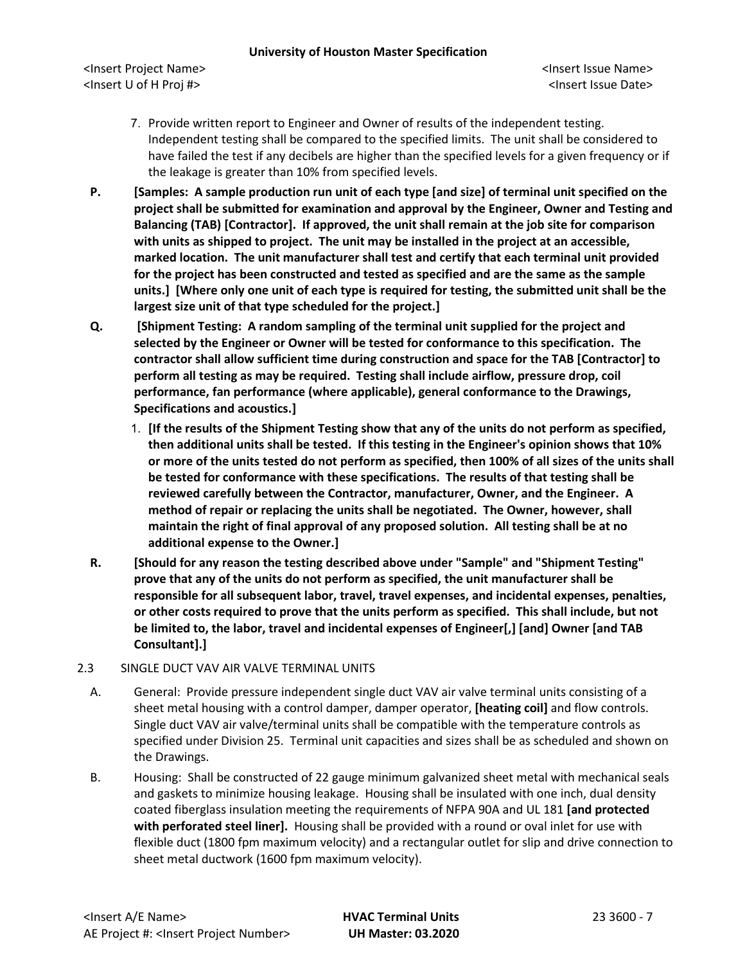<Insert Project Name> <Insert Issue Name> <Insert U of H Proj #> <Insert Issue Date>

- 7. Provide written report to Engineer and Owner of results of the independent testing. Independent testing shall be compared to the specified limits. The unit shall be considered to have failed the test if any decibels are higher than the specified levels for a given frequency or if the leakage is greater than 10% from specified levels.
- **P. [Samples: A sample production run unit of each type [and size] of terminal unit specified on the project shall be submitted for examination and approval by the Engineer, Owner and Testing and Balancing (TAB) [Contractor]. If approved, the unit shall remain at the job site for comparison with units as shipped to project. The unit may be installed in the project at an accessible, marked location. The unit manufacturer shall test and certify that each terminal unit provided for the project has been constructed and tested as specified and are the same as the sample units.] [Where only one unit of each type is required for testing, the submitted unit shall be the largest size unit of that type scheduled for the project.]**
- **Q. [Shipment Testing: A random sampling of the terminal unit supplied for the project and selected by the Engineer or Owner will be tested for conformance to this specification. The contractor shall allow sufficient time during construction and space for the TAB [Contractor] to perform all testing as may be required. Testing shall include airflow, pressure drop, coil performance, fan performance (where applicable), general conformance to the Drawings, Specifications and acoustics.]**
	- 1. **[If the results of the Shipment Testing show that any of the units do not perform as specified, then additional units shall be tested. If this testing in the Engineer's opinion shows that 10% or more of the units tested do not perform as specified, then 100% of all sizes of the units shall be tested for conformance with these specifications. The results of that testing shall be reviewed carefully between the Contractor, manufacturer, Owner, and the Engineer. A method of repair or replacing the units shall be negotiated. The Owner, however, shall maintain the right of final approval of any proposed solution. All testing shall be at no additional expense to the Owner.]**
- **R. [Should for any reason the testing described above under "Sample" and "Shipment Testing" prove that any of the units do not perform as specified, the unit manufacturer shall be responsible for all subsequent labor, travel, travel expenses, and incidental expenses, penalties, or other costs required to prove that the units perform as specified. This shall include, but not be limited to, the labor, travel and incidental expenses of Engineer[,] [and] Owner [and TAB Consultant].]**

## 2.3 SINGLE DUCT VAV AIR VALVE TERMINAL UNITS

- A. General: Provide pressure independent single duct VAV air valve terminal units consisting of a sheet metal housing with a control damper, damper operator, **[heating coil]** and flow controls. Single duct VAV air valve/terminal units shall be compatible with the temperature controls as specified under Division 25. Terminal unit capacities and sizes shall be as scheduled and shown on the Drawings.
- B. Housing: Shall be constructed of 22 gauge minimum galvanized sheet metal with mechanical seals and gaskets to minimize housing leakage. Housing shall be insulated with one inch, dual density coated fiberglass insulation meeting the requirements of NFPA 90A and UL 181 **[and protected with perforated steel liner].** Housing shall be provided with a round or oval inlet for use with flexible duct (1800 fpm maximum velocity) and a rectangular outlet for slip and drive connection to sheet metal ductwork (1600 fpm maximum velocity).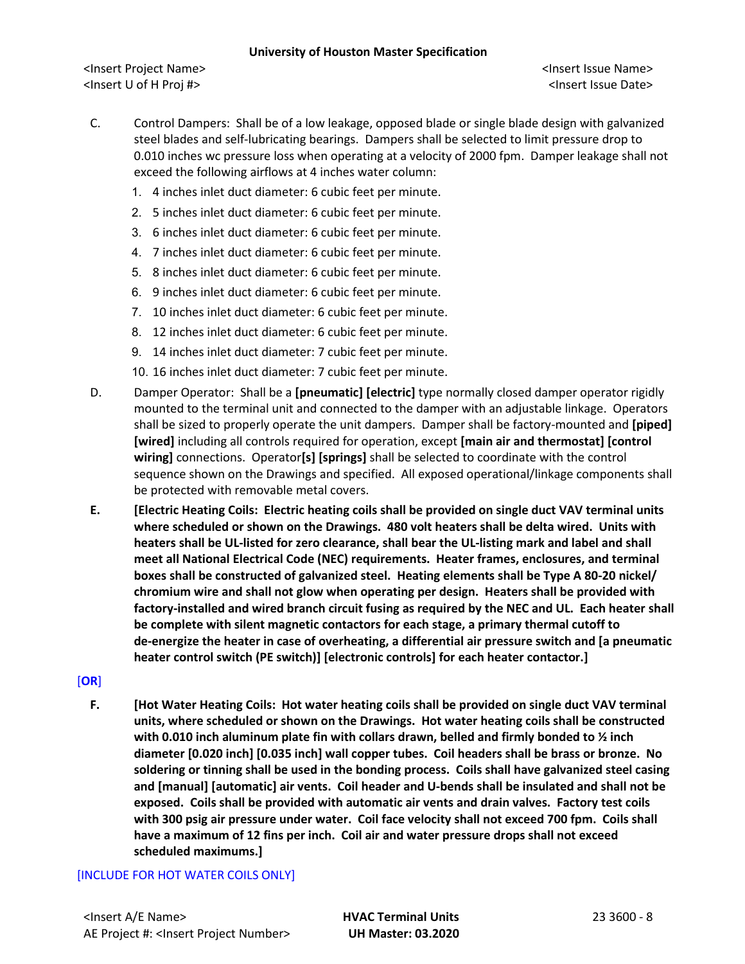<Insert Project Name> <Insert Issue Name> <Insert U of H Proj #> <Insert Issue Date>

- C. Control Dampers: Shall be of a low leakage, opposed blade or single blade design with galvanized steel blades and self-lubricating bearings. Dampers shall be selected to limit pressure drop to 0.010 inches wc pressure loss when operating at a velocity of 2000 fpm. Damper leakage shall not exceed the following airflows at 4 inches water column:
	- 1. 4 inches inlet duct diameter: 6 cubic feet per minute.
	- 2. 5 inches inlet duct diameter: 6 cubic feet per minute.
	- 3. 6 inches inlet duct diameter: 6 cubic feet per minute.
	- 4. 7 inches inlet duct diameter: 6 cubic feet per minute.
	- 5. 8 inches inlet duct diameter: 6 cubic feet per minute.
	- 6. 9 inches inlet duct diameter: 6 cubic feet per minute.
	- 7. 10 inches inlet duct diameter: 6 cubic feet per minute.
	- 8. 12 inches inlet duct diameter: 6 cubic feet per minute.
	- 9. 14 inches inlet duct diameter: 7 cubic feet per minute.
	- 10. 16 inches inlet duct diameter: 7 cubic feet per minute.
- D. Damper Operator: Shall be a **[pneumatic] [electric]** type normally closed damper operator rigidly mounted to the terminal unit and connected to the damper with an adjustable linkage. Operators shall be sized to properly operate the unit dampers. Damper shall be factory-mounted and **[piped] [wired]** including all controls required for operation, except **[main air and thermostat] [control wiring]** connections. Operator**[s] [springs]** shall be selected to coordinate with the control sequence shown on the Drawings and specified. All exposed operational/linkage components shall be protected with removable metal covers.
- **E. [Electric Heating Coils: Electric heating coils shall be provided on single duct VAV terminal units where scheduled or shown on the Drawings. 480 volt heaters shall be delta wired. Units with heaters shall be UL-listed for zero clearance, shall bear the UL-listing mark and label and shall meet all National Electrical Code (NEC) requirements. Heater frames, enclosures, and terminal boxes shall be constructed of galvanized steel. Heating elements shall be Type A 80-20 nickel/ chromium wire and shall not glow when operating per design. Heaters shall be provided with factory-installed and wired branch circuit fusing as required by the NEC and UL. Each heater shall be complete with silent magnetic contactors for each stage, a primary thermal cutoff to de-energize the heater in case of overheating, a differential air pressure switch and [a pneumatic heater control switch (PE switch)] [electronic controls] for each heater contactor.]**

## [**OR**]

**F. [Hot Water Heating Coils: Hot water heating coils shall be provided on single duct VAV terminal units, where scheduled or shown on the Drawings. Hot water heating coils shall be constructed with 0.010 inch aluminum plate fin with collars drawn, belled and firmly bonded to ½ inch diameter [0.020 inch] [0.035 inch] wall copper tubes. Coil headers shall be brass or bronze. No soldering or tinning shall be used in the bonding process. Coils shall have galvanized steel casing and [manual] [automatic] air vents. Coil header and U-bends shall be insulated and shall not be exposed. Coils shall be provided with automatic air vents and drain valves. Factory test coils with 300 psig air pressure under water. Coil face velocity shall not exceed 700 fpm. Coils shall have a maximum of 12 fins per inch. Coil air and water pressure drops shall not exceed scheduled maximums.]**

## [INCLUDE FOR HOT WATER COILS ONLY]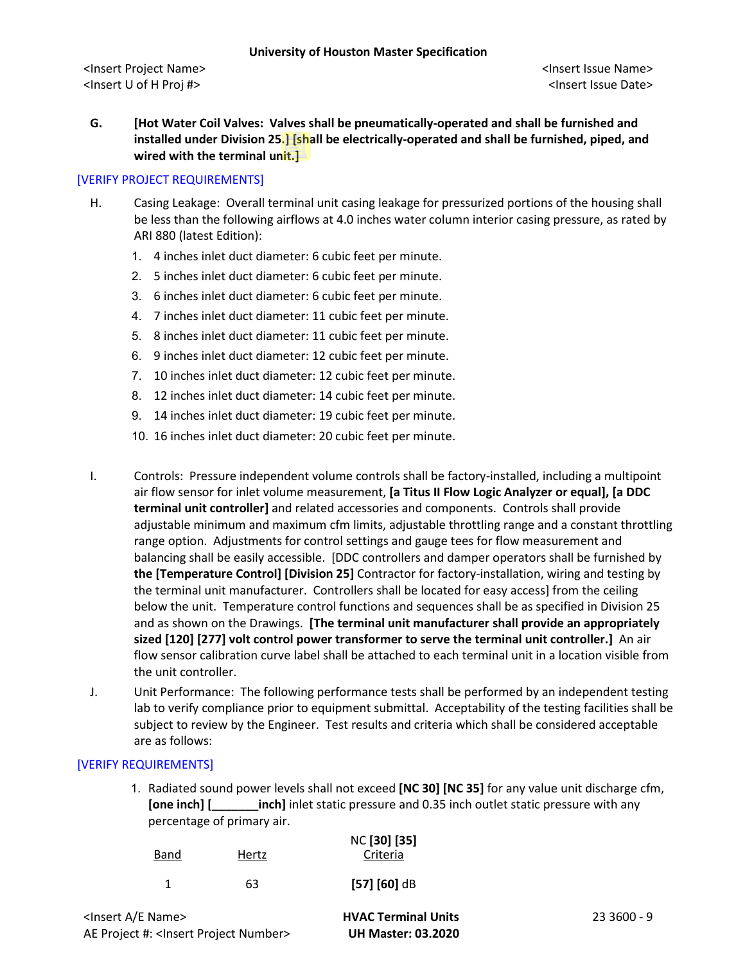**G. [Hot Water Coil Valves: Valves shall be pneumatically-operated and shall be furnished and installed under Division 25.] [shall be electrically-operated and shall be furnished, piped, and wired with the terminal unit.]**

## [VERIFY PROJECT REQUIREMENTS]

- H. Casing Leakage: Overall terminal unit casing leakage for pressurized portions of the housing shall be less than the following airflows at 4.0 inches water column interior casing pressure, as rated by ARI 880 (latest Edition):
	- 1. 4 inches inlet duct diameter: 6 cubic feet per minute.
	- 2. 5 inches inlet duct diameter: 6 cubic feet per minute.
	- 3. 6 inches inlet duct diameter: 6 cubic feet per minute.
	- 4. 7 inches inlet duct diameter: 11 cubic feet per minute.
	- 5. 8 inches inlet duct diameter: 11 cubic feet per minute.
	- 6. 9 inches inlet duct diameter: 12 cubic feet per minute.
	- 7. 10 inches inlet duct diameter: 12 cubic feet per minute.
	- 8. 12 inches inlet duct diameter: 14 cubic feet per minute.
	- 9. 14 inches inlet duct diameter: 19 cubic feet per minute.
	- 10. 16 inches inlet duct diameter: 20 cubic feet per minute.
- I. Controls: Pressure independent volume controls shall be factory-installed, including a multipoint air flow sensor for inlet volume measurement, **[a Titus II Flow Logic Analyzer or equal], [a DDC terminal unit controller]** and related accessories and components. Controls shall provide adjustable minimum and maximum cfm limits, adjustable throttling range and a constant throttling range option. Adjustments for control settings and gauge tees for flow measurement and balancing shall be easily accessible. [DDC controllers and damper operators shall be furnished by **the [Temperature Control] [Division 25]** Contractor for factory-installation, wiring and testing by the terminal unit manufacturer. Controllers shall be located for easy access] from the ceiling below the unit. Temperature control functions and sequences shall be as specified in Division 25 and as shown on the Drawings. **[The terminal unit manufacturer shall provide an appropriately sized [120] [277] volt control power transformer to serve the terminal unit controller.]** An air flow sensor calibration curve label shall be attached to each terminal unit in a location visible from the unit controller.
- J. Unit Performance: The following performance tests shall be performed by an independent testing lab to verify compliance prior to equipment submittal. Acceptability of the testing facilities shall be subject to review by the Engineer. Test results and criteria which shall be considered acceptable are as follows:

#### [VERIFY REQUIREMENTS]

1. Radiated sound power levels shall not exceed **[NC 30] [NC 35]** for any value unit discharge cfm, **[one inch] [\_\_\_\_\_\_\_inch]** inlet static pressure and 0.35 inch outlet static pressure with any percentage of primary air.

| <b>Band</b> | Hertz | NC [30] [35]<br>Criteria |
|-------------|-------|--------------------------|
| 1           | 63    | $[57] [60]$ dB           |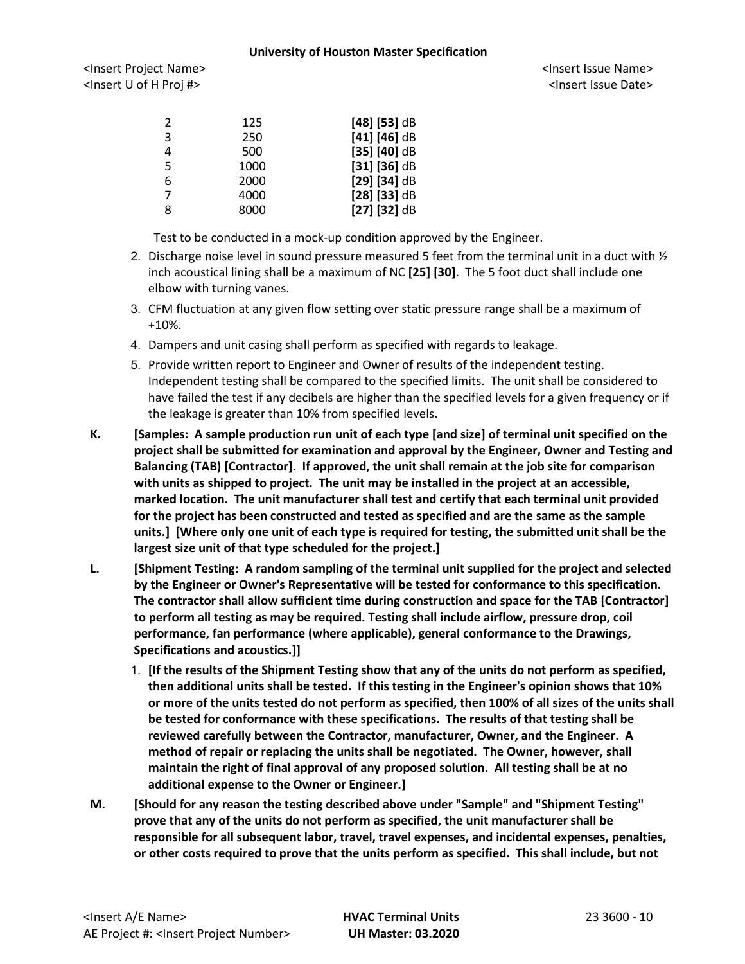<Insert Project Name> <Insert Issue Name> <Insert U of H Proj #> <Insert Issue Date>

| 2 | 125  | $[48]$ [53] dB |
|---|------|----------------|
| 3 | 250  | $[41] [46]$ dB |
| 4 | 500  | $[35] [40]$ dB |
| 5 | 1000 | $[31] [36]$ dB |
| 6 | 2000 | $[29] [34]$ dB |
| 7 | 4000 | $[28]$ [33] dB |
| 8 | 8000 | $[27]$ [32] dB |

Test to be conducted in a mock-up condition approved by the Engineer.

- 2. Discharge noise level in sound pressure measured 5 feet from the terminal unit in a duct with  $\frac{1}{2}$ inch acoustical lining shall be a maximum of NC **[25] [30]**. The 5 foot duct shall include one elbow with turning vanes.
- 3. CFM fluctuation at any given flow setting over static pressure range shall be a maximum of +10%.
- 4. Dampers and unit casing shall perform as specified with regards to leakage.
- 5. Provide written report to Engineer and Owner of results of the independent testing. Independent testing shall be compared to the specified limits. The unit shall be considered to have failed the test if any decibels are higher than the specified levels for a given frequency or if the leakage is greater than 10% from specified levels.
- **K. [Samples: A sample production run unit of each type [and size] of terminal unit specified on the project shall be submitted for examination and approval by the Engineer, Owner and Testing and Balancing (TAB) [Contractor]. If approved, the unit shall remain at the job site for comparison with units as shipped to project. The unit may be installed in the project at an accessible, marked location. The unit manufacturer shall test and certify that each terminal unit provided for the project has been constructed and tested as specified and are the same as the sample units.] [Where only one unit of each type is required for testing, the submitted unit shall be the largest size unit of that type scheduled for the project.]**
- **L. [Shipment Testing: A random sampling of the terminal unit supplied for the project and selected by the Engineer or Owner's Representative will be tested for conformance to this specification. The contractor shall allow sufficient time during construction and space for the TAB [Contractor] to perform all testing as may be required. Testing shall include airflow, pressure drop, coil performance, fan performance (where applicable), general conformance to the Drawings, Specifications and acoustics.]]**
	- 1. **[If the results of the Shipment Testing show that any of the units do not perform as specified, then additional units shall be tested. If this testing in the Engineer's opinion shows that 10% or more of the units tested do not perform as specified, then 100% of all sizes of the units shall be tested for conformance with these specifications. The results of that testing shall be reviewed carefully between the Contractor, manufacturer, Owner, and the Engineer. A method of repair or replacing the units shall be negotiated. The Owner, however, shall maintain the right of final approval of any proposed solution. All testing shall be at no additional expense to the Owner or Engineer.]**
- **M. [Should for any reason the testing described above under "Sample" and "Shipment Testing" prove that any of the units do not perform as specified, the unit manufacturer shall be responsible for all subsequent labor, travel, travel expenses, and incidental expenses, penalties, or other costs required to prove that the units perform as specified. This shall include, but not**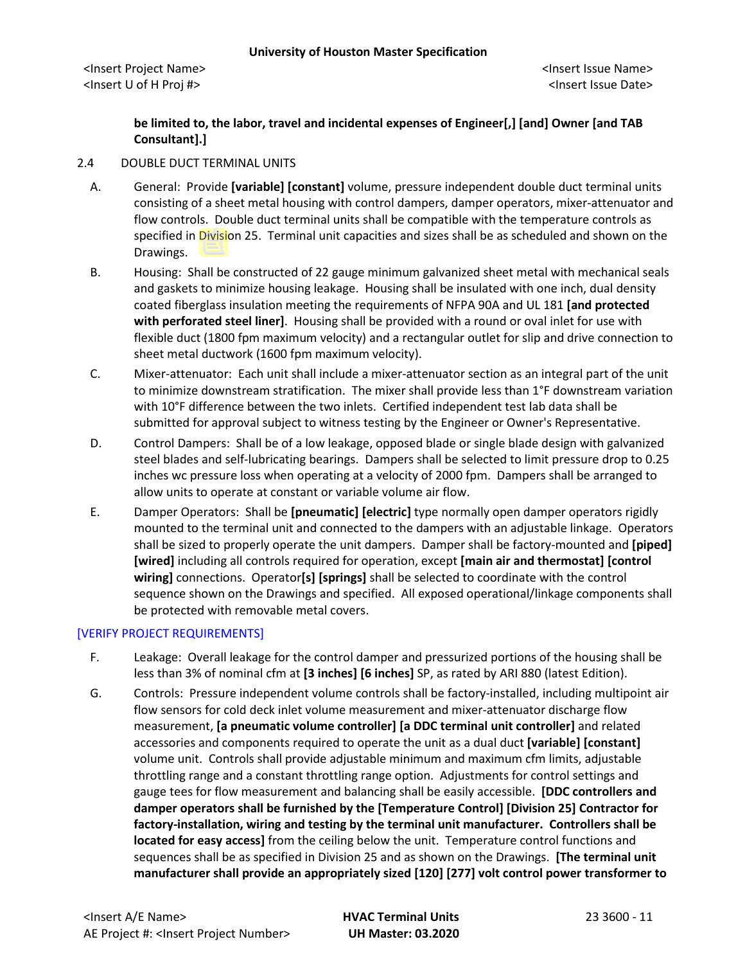# **be limited to, the labor, travel and incidental expenses of Engineer[,] [and] Owner [and TAB Consultant].]**

# 2.4 DOUBLE DUCT TERMINAL UNITS

- A. General: Provide **[variable] [constant]** volume, pressure independent double duct terminal units consisting of a sheet metal housing with control dampers, damper operators, mixer-attenuator and flow controls. Double duct terminal units shall be compatible with the temperature controls as specified in Division 25. Terminal unit capacities and sizes shall be as scheduled and shown on the Drawings.
- B. Housing: Shall be constructed of 22 gauge minimum galvanized sheet metal with mechanical seals and gaskets to minimize housing leakage. Housing shall be insulated with one inch, dual density coated fiberglass insulation meeting the requirements of NFPA 90A and UL 181 **[and protected with perforated steel liner]**. Housing shall be provided with a round or oval inlet for use with flexible duct (1800 fpm maximum velocity) and a rectangular outlet for slip and drive connection to sheet metal ductwork (1600 fpm maximum velocity).
- C. Mixer-attenuator: Each unit shall include a mixer-attenuator section as an integral part of the unit to minimize downstream stratification. The mixer shall provide less than 1°F downstream variation with 10°F difference between the two inlets. Certified independent test lab data shall be submitted for approval subject to witness testing by the Engineer or Owner's Representative.
- D. Control Dampers: Shall be of a low leakage, opposed blade or single blade design with galvanized steel blades and self-lubricating bearings. Dampers shall be selected to limit pressure drop to 0.25 inches wc pressure loss when operating at a velocity of 2000 fpm. Dampers shall be arranged to allow units to operate at constant or variable volume air flow.
- E. Damper Operators: Shall be **[pneumatic] [electric]** type normally open damper operators rigidly mounted to the terminal unit and connected to the dampers with an adjustable linkage. Operators shall be sized to properly operate the unit dampers. Damper shall be factory-mounted and **[piped] [wired]** including all controls required for operation, except **[main air and thermostat] [control wiring]** connections. Operator**[s] [springs]** shall be selected to coordinate with the control sequence shown on the Drawings and specified. All exposed operational/linkage components shall be protected with removable metal covers.

## [VERIFY PROJECT REQUIREMENTS]

- F. Leakage: Overall leakage for the control damper and pressurized portions of the housing shall be less than 3% of nominal cfm at **[3 inches] [6 inches]** SP, as rated by ARI 880 (latest Edition).
- G. Controls: Pressure independent volume controls shall be factory-installed, including multipoint air flow sensors for cold deck inlet volume measurement and mixer-attenuator discharge flow measurement, **[a pneumatic volume controller] [a DDC terminal unit controller]** and related accessories and components required to operate the unit as a dual duct **[variable] [constant]** volume unit. Controls shall provide adjustable minimum and maximum cfm limits, adjustable throttling range and a constant throttling range option. Adjustments for control settings and gauge tees for flow measurement and balancing shall be easily accessible. **[DDC controllers and damper operators shall be furnished by the [Temperature Control] [Division 25] Contractor for factory-installation, wiring and testing by the terminal unit manufacturer. Controllers shall be located for easy access]** from the ceiling below the unit. Temperature control functions and sequences shall be as specified in Division 25 and as shown on the Drawings. **[The terminal unit manufacturer shall provide an appropriately sized [120] [277] volt control power transformer to**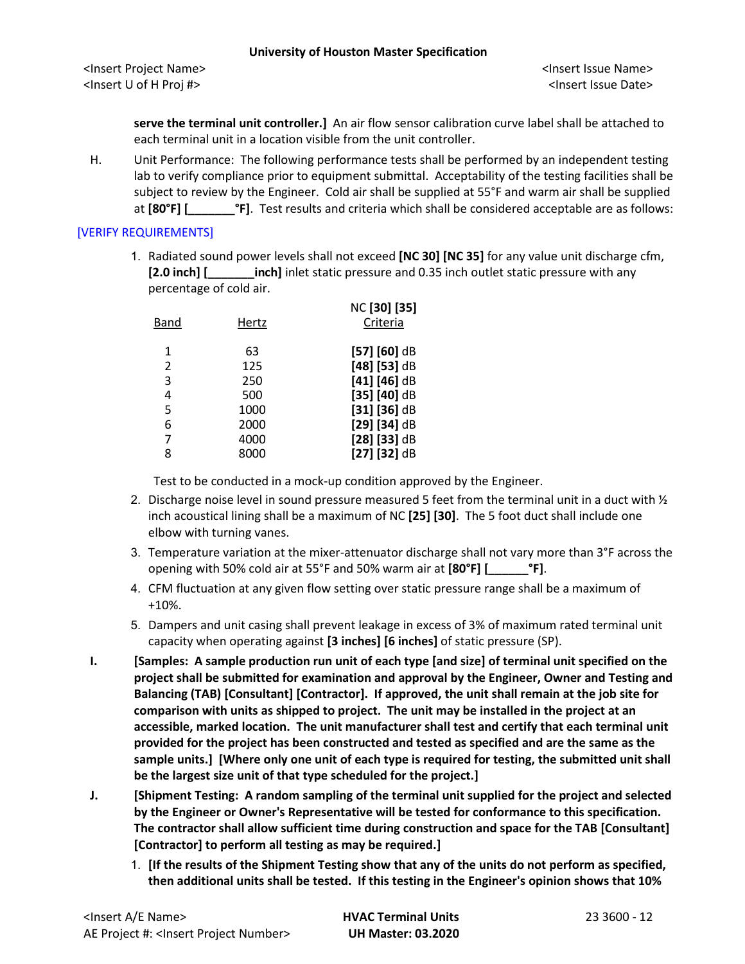**serve the terminal unit controller.]** An air flow sensor calibration curve label shall be attached to each terminal unit in a location visible from the unit controller.

H. Unit Performance: The following performance tests shall be performed by an independent testing lab to verify compliance prior to equipment submittal. Acceptability of the testing facilities shall be subject to review by the Engineer. Cold air shall be supplied at 55°F and warm air shall be supplied at **[80°F]** [  $\blacksquare$  **[30]**. Test results and criteria which shall be considered acceptable are as follows:

# [VERIFY REQUIREMENTS]

1. Radiated sound power levels shall not exceed **[NC 30] [NC 35]** for any value unit discharge cfm, **[2.0 inch] [\_\_\_\_\_\_\_inch]** inlet static pressure and 0.35 inch outlet static pressure with any percentage of cold air.

| Band | Hertz | NC [30] [35]<br>Criteria |
|------|-------|--------------------------|
| 1    | 63    | $[57]$ $[60]$ dB         |
| 2    | 125   | $[48]$ [53] dB           |
| 3    | 250   | $[41] [46]$ dB           |
| 4    | 500   | $[35] [40]$ dB           |
| 5    | 1000  | $[31] [36]$ dB           |
| 6    | 2000  | $[29] [34]$ dB           |
| 7    | 4000  | $[28]$ [33] dB           |
| 8    | 8000  | $[27]$ [32] dB           |
|      |       |                          |

Test to be conducted in a mock-up condition approved by the Engineer.

- 2. Discharge noise level in sound pressure measured 5 feet from the terminal unit in a duct with  $\frac{1}{2}$ inch acoustical lining shall be a maximum of NC **[25] [30]**. The 5 foot duct shall include one elbow with turning vanes.
- 3. Temperature variation at the mixer-attenuator discharge shall not vary more than  $3^\circ$ F across the opening with 50% cold air at 55°F and 50% warm air at **[80°F] [\_\_\_\_\_\_°F]**.
- 4. CFM fluctuation at any given flow setting over static pressure range shall be a maximum of +10%.
- 5. Dampers and unit casing shall prevent leakage in excess of 3% of maximum rated terminal unit capacity when operating against **[3 inches] [6 inches]** of static pressure (SP).
- **I. [Samples: A sample production run unit of each type [and size] of terminal unit specified on the project shall be submitted for examination and approval by the Engineer, Owner and Testing and Balancing (TAB) [Consultant] [Contractor]. If approved, the unit shall remain at the job site for comparison with units as shipped to project. The unit may be installed in the project at an accessible, marked location. The unit manufacturer shall test and certify that each terminal unit provided for the project has been constructed and tested as specified and are the same as the sample units.] [Where only one unit of each type is required for testing, the submitted unit shall be the largest size unit of that type scheduled for the project.]**
- **J. [Shipment Testing: A random sampling of the terminal unit supplied for the project and selected by the Engineer or Owner's Representative will be tested for conformance to this specification. The contractor shall allow sufficient time during construction and space for the TAB [Consultant] [Contractor] to perform all testing as may be required.]**
	- 1. **[If the results of the Shipment Testing show that any of the units do not perform as specified, then additional units shall be tested. If this testing in the Engineer's opinion shows that 10%**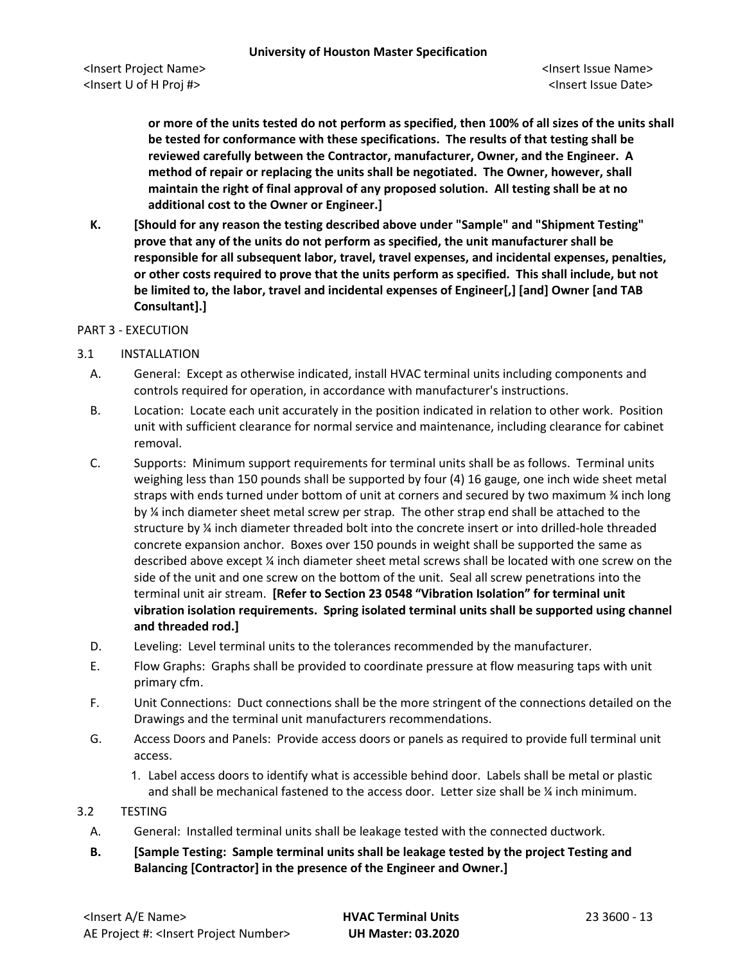**or more of the units tested do not perform as specified, then 100% of all sizes of the units shall be tested for conformance with these specifications. The results of that testing shall be reviewed carefully between the Contractor, manufacturer, Owner, and the Engineer. A method of repair or replacing the units shall be negotiated. The Owner, however, shall maintain the right of final approval of any proposed solution. All testing shall be at no additional cost to the Owner or Engineer.]**

**K. [Should for any reason the testing described above under "Sample" and "Shipment Testing" prove that any of the units do not perform as specified, the unit manufacturer shall be responsible for all subsequent labor, travel, travel expenses, and incidental expenses, penalties, or other costs required to prove that the units perform as specified. This shall include, but not be limited to, the labor, travel and incidental expenses of Engineer[,] [and] Owner [and TAB Consultant].]**

## PART 3 - EXECUTION

- 3.1 INSTALLATION
	- A. General: Except as otherwise indicated, install HVAC terminal units including components and controls required for operation, in accordance with manufacturer's instructions.
	- B. Location: Locate each unit accurately in the position indicated in relation to other work. Position unit with sufficient clearance for normal service and maintenance, including clearance for cabinet removal.
	- C. Supports: Minimum support requirements for terminal units shall be as follows. Terminal units weighing less than 150 pounds shall be supported by four (4) 16 gauge, one inch wide sheet metal straps with ends turned under bottom of unit at corners and secured by two maximum % inch long by <sup>1/4</sup> inch diameter sheet metal screw per strap. The other strap end shall be attached to the structure by ¼ inch diameter threaded bolt into the concrete insert or into drilled-hole threaded concrete expansion anchor. Boxes over 150 pounds in weight shall be supported the same as described above except ¼ inch diameter sheet metal screws shall be located with one screw on the side of the unit and one screw on the bottom of the unit. Seal all screw penetrations into the terminal unit air stream. **[Refer to Section 23 0548 "Vibration Isolation" for terminal unit vibration isolation requirements. Spring isolated terminal units shall be supported using channel and threaded rod.]**
	- D. Leveling: Level terminal units to the tolerances recommended by the manufacturer.
	- E. Flow Graphs: Graphs shall be provided to coordinate pressure at flow measuring taps with unit primary cfm.
	- F. Unit Connections: Duct connections shall be the more stringent of the connections detailed on the Drawings and the terminal unit manufacturers recommendations.
	- G. Access Doors and Panels: Provide access doors or panels as required to provide full terminal unit access.
		- 1. Label access doors to identify what is accessible behind door. Labels shall be metal or plastic and shall be mechanical fastened to the access door. Letter size shall be ¼ inch minimum.

#### 3.2 TESTING

- A. General: Installed terminal units shall be leakage tested with the connected ductwork.
- **B. [Sample Testing: Sample terminal units shall be leakage tested by the project Testing and Balancing [Contractor] in the presence of the Engineer and Owner.]**